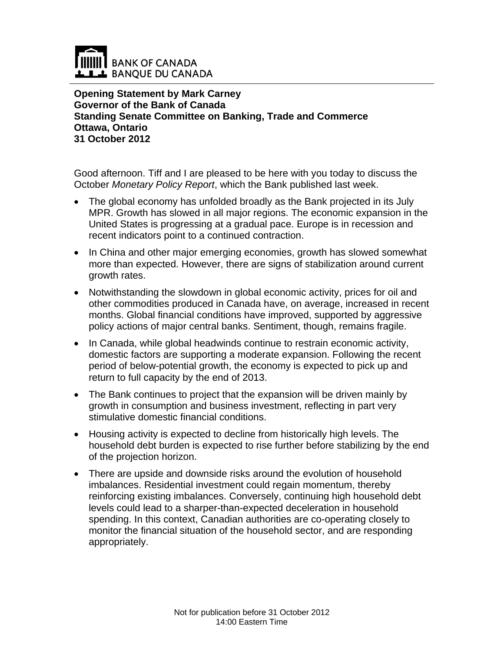

**Opening Statement by Mark Carney Governor of the Bank of Canada Standing Senate Committee on Banking, Trade and Commerce Ottawa, Ontario 31 October 2012** 

Good afternoon. Tiff and I are pleased to be here with you today to discuss the October *Monetary Policy Report*, which the Bank published last week.

- The global economy has unfolded broadly as the Bank projected in its July MPR. Growth has slowed in all major regions. The economic expansion in the United States is progressing at a gradual pace. Europe is in recession and recent indicators point to a continued contraction.
- In China and other major emerging economies, growth has slowed somewhat more than expected. However, there are signs of stabilization around current growth rates.
- Notwithstanding the slowdown in global economic activity, prices for oil and other commodities produced in Canada have, on average, increased in recent months. Global financial conditions have improved, supported by aggressive policy actions of major central banks. Sentiment, though, remains fragile.
- In Canada, while global headwinds continue to restrain economic activity, domestic factors are supporting a moderate expansion. Following the recent period of below-potential growth, the economy is expected to pick up and return to full capacity by the end of 2013.
- The Bank continues to project that the expansion will be driven mainly by growth in consumption and business investment, reflecting in part very stimulative domestic financial conditions.
- Housing activity is expected to decline from historically high levels. The household debt burden is expected to rise further before stabilizing by the end of the projection horizon.
- There are upside and downside risks around the evolution of household imbalances. Residential investment could regain momentum, thereby reinforcing existing imbalances. Conversely, continuing high household debt levels could lead to a sharper-than-expected deceleration in household spending. In this context, Canadian authorities are co-operating closely to monitor the financial situation of the household sector, and are responding appropriately.